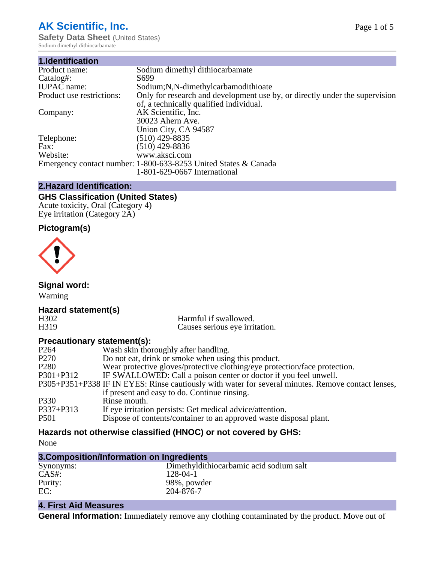## **AK Scientific, Inc.**

**Safety Data Sheet (United States)** Sodium dimethyl dithiocarbamate

| 1.Identification          |                                                                             |
|---------------------------|-----------------------------------------------------------------------------|
| Product name:             | Sodium dimethyl dithiocarbamate                                             |
| Catalog#:                 | S699                                                                        |
| <b>IUPAC</b> name:        | Sodium;N,N-dimethylcarbamodithioate                                         |
| Product use restrictions: | Only for research and development use by, or directly under the supervision |
|                           | of, a technically qualified individual.                                     |
| Company:                  | AK Scientific, Inc.                                                         |
|                           | 30023 Ahern Ave.                                                            |
|                           | Union City, CA 94587                                                        |
| Telephone:                | $(510)$ 429-8835                                                            |
| Fax:                      | (510) 429-8836                                                              |
| Website:                  | www.aksci.com                                                               |
|                           | Emergency contact number: 1-800-633-8253 United States & Canada             |
|                           | 1-801-629-0667 International                                                |

#### **2.Hazard Identification:**

#### **GHS Classification (United States)**

Acute toxicity, Oral (Category 4) Eye irritation (Category 2A)

## **Pictogram(s)**



**Signal word:**

Warning

# **Hazard statement(s)**

H302 Harmful if swallowed.<br>
H319 Causes serious eve irrit Causes serious eye irritation.

## **Precautionary statement(s):**

| P <sub>264</sub> | Wash skin thoroughly after handling.                                                               |
|------------------|----------------------------------------------------------------------------------------------------|
| P <sub>270</sub> | Do not eat, drink or smoke when using this product.                                                |
| P <sub>280</sub> | Wear protective gloves/protective clothing/eye protection/face protection.                         |
| P301+P312        | IF SWALLOWED: Call a poison center or doctor if you feel unwell.                                   |
|                  | P305+P351+P338 IF IN EYES: Rinse cautiously with water for several minutes. Remove contact lenses, |
|                  | if present and easy to do. Continue rinsing.                                                       |
| P330             | Rinse mouth.                                                                                       |
| P337+P313        | If eye irritation persists: Get medical advice/attention.                                          |
| <b>P501</b>      | Dispose of contents/container to an approved waste disposal plant.                                 |
|                  |                                                                                                    |

## **Hazards not otherwise classified (HNOC) or not covered by GHS:**

None

## **3.Composition/Information on Ingredients**

| Synonyms: | Dimethyldithiocarbamic acid sodium salt |
|-----------|-----------------------------------------|
| $CAS#$ :  | 128-04-1                                |
| Purity:   | 98%, powder                             |
| EC:       | 204-876-7                               |
|           |                                         |

## **4. First Aid Measures**

**General Information:** Immediately remove any clothing contaminated by the product. Move out of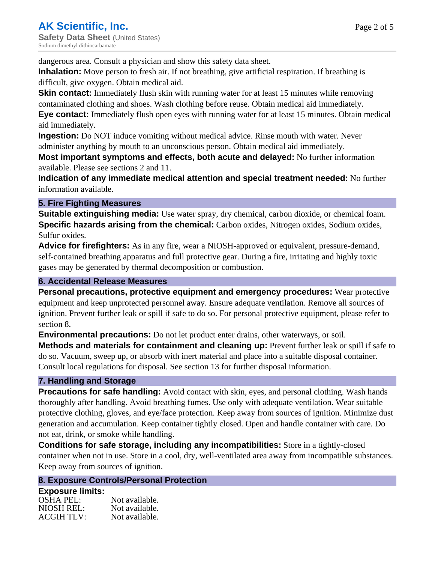dangerous area. Consult a physician and show this safety data sheet.

**Inhalation:** Move person to fresh air. If not breathing, give artificial respiration. If breathing is difficult, give oxygen. Obtain medical aid.

**Skin contact:** Immediately flush skin with running water for at least 15 minutes while removing contaminated clothing and shoes. Wash clothing before reuse. Obtain medical aid immediately. **Eye contact:** Immediately flush open eyes with running water for at least 15 minutes. Obtain medical aid immediately.

**Ingestion:** Do NOT induce vomiting without medical advice. Rinse mouth with water. Never administer anything by mouth to an unconscious person. Obtain medical aid immediately.

**Most important symptoms and effects, both acute and delayed:** No further information available. Please see sections 2 and 11.

**Indication of any immediate medical attention and special treatment needed:** No further information available.

## **5. Fire Fighting Measures**

**Suitable extinguishing media:** Use water spray, dry chemical, carbon dioxide, or chemical foam. **Specific hazards arising from the chemical:** Carbon oxides, Nitrogen oxides, Sodium oxides, Sulfur oxides.

**Advice for firefighters:** As in any fire, wear a NIOSH-approved or equivalent, pressure-demand, self-contained breathing apparatus and full protective gear. During a fire, irritating and highly toxic gases may be generated by thermal decomposition or combustion.

## **6. Accidental Release Measures**

**Personal precautions, protective equipment and emergency procedures:** Wear protective equipment and keep unprotected personnel away. Ensure adequate ventilation. Remove all sources of ignition. Prevent further leak or spill if safe to do so. For personal protective equipment, please refer to section 8.

**Environmental precautions:** Do not let product enter drains, other waterways, or soil.

**Methods and materials for containment and cleaning up:** Prevent further leak or spill if safe to do so. Vacuum, sweep up, or absorb with inert material and place into a suitable disposal container. Consult local regulations for disposal. See section 13 for further disposal information.

#### **7. Handling and Storage**

**Precautions for safe handling:** Avoid contact with skin, eyes, and personal clothing. Wash hands thoroughly after handling. Avoid breathing fumes. Use only with adequate ventilation. Wear suitable protective clothing, gloves, and eye/face protection. Keep away from sources of ignition. Minimize dust generation and accumulation. Keep container tightly closed. Open and handle container with care. Do not eat, drink, or smoke while handling.

**Conditions for safe storage, including any incompatibilities:** Store in a tightly-closed container when not in use. Store in a cool, dry, well-ventilated area away from incompatible substances. Keep away from sources of ignition.

#### **8. Exposure Controls/Personal Protection**

| <b>Exposure limits:</b> |                |
|-------------------------|----------------|
| <b>OSHA PEL:</b>        | Not available. |
| NIOSH REL:              | Not available. |
| ACGIH TLV:              | Not available. |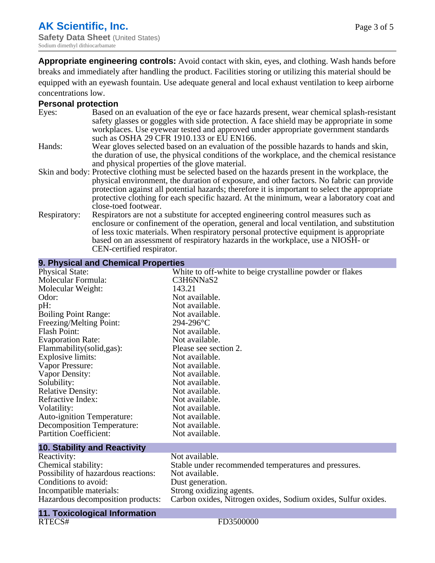**Appropriate engineering controls:** Avoid contact with skin, eyes, and clothing. Wash hands before breaks and immediately after handling the product. Facilities storing or utilizing this material should be equipped with an eyewash fountain. Use adequate general and local exhaust ventilation to keep airborne concentrations low.

## **Personal protection**

| Eyes:        | Based on an evaluation of the eye or face hazards present, wear chemical splash-resistant<br>safety glasses or goggles with side protection. A face shield may be appropriate in some<br>workplaces. Use eyewear tested and approved under appropriate government standards |
|--------------|-----------------------------------------------------------------------------------------------------------------------------------------------------------------------------------------------------------------------------------------------------------------------------|
|              | such as OSHA 29 CFR 1910.133 or EU EN166.                                                                                                                                                                                                                                   |
| Hands:       | Wear gloves selected based on an evaluation of the possible hazards to hands and skin,                                                                                                                                                                                      |
|              | the duration of use, the physical conditions of the workplace, and the chemical resistance                                                                                                                                                                                  |
|              | and physical properties of the glove material.                                                                                                                                                                                                                              |
|              | Skin and body: Protective clothing must be selected based on the hazards present in the workplace, the                                                                                                                                                                      |
|              | physical environment, the duration of exposure, and other factors. No fabric can provide                                                                                                                                                                                    |
|              | protection against all potential hazards; therefore it is important to select the appropriate                                                                                                                                                                               |
|              | protective clothing for each specific hazard. At the minimum, wear a laboratory coat and                                                                                                                                                                                    |
|              | close-toed footwear.                                                                                                                                                                                                                                                        |
| Respiratory: | Respirators are not a substitute for accepted engineering control measures such as<br>enclosure or confinement of the operation, general and local ventilation, and substitution                                                                                            |
|              | of less toxic materials. When respiratory personal protective equipment is appropriate                                                                                                                                                                                      |
|              | based on an assessment of respiratory hazards in the workplace, use a NIOSH- or                                                                                                                                                                                             |
|              | CEN-certified respirator.                                                                                                                                                                                                                                                   |

| 9. Physical and Chemical Properties  |                                                               |  |  |
|--------------------------------------|---------------------------------------------------------------|--|--|
| <b>Physical State:</b>               | White to off-white to beige crystalline powder or flakes      |  |  |
| Molecular Formula:                   | C3H6NNaS2                                                     |  |  |
| Molecular Weight:                    | 143.21                                                        |  |  |
| Odor:                                | Not available.                                                |  |  |
| pH:                                  | Not available.                                                |  |  |
| <b>Boiling Point Range:</b>          | Not available.                                                |  |  |
| Freezing/Melting Point:              | 294-296°C                                                     |  |  |
| <b>Flash Point:</b>                  | Not available.                                                |  |  |
| <b>Evaporation Rate:</b>             | Not available.                                                |  |  |
| Flammability (solid, gas):           | Please see section 2.                                         |  |  |
| <b>Explosive limits:</b>             | Not available.                                                |  |  |
| Vapor Pressure:                      | Not available.                                                |  |  |
| <b>Vapor Density:</b>                | Not available.                                                |  |  |
| Solubility:                          | Not available.                                                |  |  |
| <b>Relative Density:</b>             | Not available.                                                |  |  |
| Refractive Index:                    | Not available.                                                |  |  |
| Volatility:                          | Not available.                                                |  |  |
| <b>Auto-ignition Temperature:</b>    | Not available.                                                |  |  |
| <b>Decomposition Temperature:</b>    | Not available.                                                |  |  |
| <b>Partition Coefficient:</b>        | Not available.                                                |  |  |
| <b>10. Stability and Reactivity</b>  |                                                               |  |  |
| Reactivity:                          | Not available.                                                |  |  |
| Chemical stability:                  | Stable under recommended temperatures and pressures.          |  |  |
| Possibility of hazardous reactions:  | Not available.                                                |  |  |
| Conditions to avoid:                 | Dust generation.                                              |  |  |
| Incompatible materials:              | Strong oxidizing agents.                                      |  |  |
| Hazardous decomposition products:    | Carbon oxides, Nitrogen oxides, Sodium oxides, Sulfur oxides. |  |  |
| <b>11. Toxicological Information</b> |                                                               |  |  |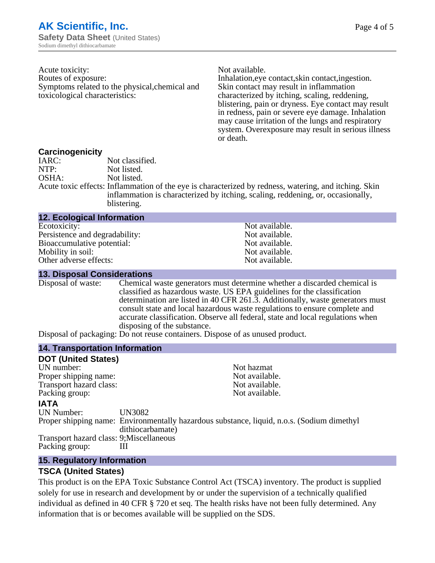Acute toxicity: Not available. Routes of exposure: Inhalation,eye contact,skin contact,ingestion. Symptoms related to the physical,chemical and toxicological characteristics:

Skin contact may result in inflammation characterized by itching, scaling, reddening, blistering, pain or dryness. Eye contact may result in redness, pain or severe eye damage. Inhalation may cause irritation of the lungs and respiratory system. Overexposure may result in serious illness or death.

#### **Carcinogenicity**

| IARC: | Not classified.                                                                                       |
|-------|-------------------------------------------------------------------------------------------------------|
| NTP:  | Not listed.                                                                                           |
| OSHA: | Not listed.                                                                                           |
|       | Acute toxic effects: Inflammation of the eye is characterized by redness, watering, and itching. Skin |
|       | inflammation is characterized by itching, scaling, reddening, or, occasionally,                       |
|       | blistering.                                                                                           |

| <b>12. Ecological Information</b> |                |
|-----------------------------------|----------------|
| Ecotoxicity:                      | Not available. |
| Persistence and degradability:    | Not available. |
| Bioaccumulative potential:        | Not available. |
| Mobility in soil:                 | Not available. |
| Other adverse effects:            | Not available. |

#### **13. Disposal Considerations**

Disposal of waste: Chemical waste generators must determine whether a discarded chemical is classified as hazardous waste. US EPA guidelines for the classification determination are listed in 40 CFR 261.3. Additionally, waste generators must consult state and local hazardous waste regulations to ensure complete and accurate classification. Observe all federal, state and local regulations when disposing of the substance.

Disposal of packaging: Do not reuse containers. Dispose of as unused product.

#### **14. Transportation Information**

| <b>DOT (United States)</b>               |                  |                                                                                            |
|------------------------------------------|------------------|--------------------------------------------------------------------------------------------|
| UN number:                               |                  | Not hazmat                                                                                 |
| Proper shipping name:                    |                  | Not available.                                                                             |
| Transport hazard class:                  |                  | Not available.                                                                             |
| Packing group:                           |                  | Not available.                                                                             |
| <b>IATA</b>                              |                  |                                                                                            |
| <b>UN Number:</b>                        | UN3082           |                                                                                            |
|                                          | dithiocarbamate) | Proper shipping name: Environmentally hazardous substance, liquid, n.o.s. (Sodium dimethyl |
| Transport hazard class: 9; Miscellaneous |                  |                                                                                            |
| Packing group:                           | Ш                |                                                                                            |

#### **15. Regulatory Information**

#### **TSCA (United States)**

This product is on the EPA Toxic Substance Control Act (TSCA) inventory. The product is supplied solely for use in research and development by or under the supervision of a technically qualified individual as defined in 40 CFR § 720 et seq. The health risks have not been fully determined. Any information that is or becomes available will be supplied on the SDS.